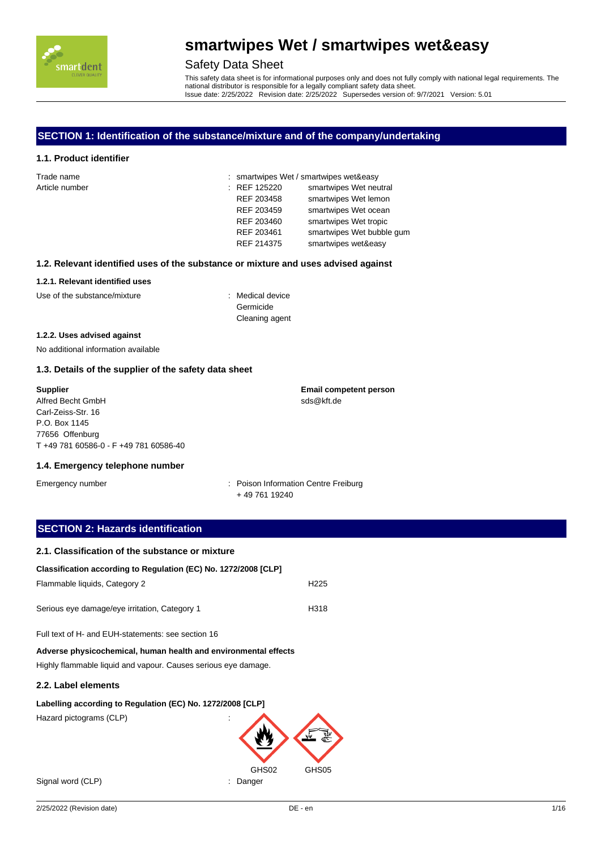

### Safety Data Sheet

This safety data sheet is for informational purposes only and does not fully comply with national legal requirements. The national distributor is responsible for a legally compliant safety data sheet. Issue date: 2/25/2022 Revision date: 2/25/2022 Supersedes version of: 9/7/2021 Version: 5.01

### **SECTION 1: Identification of the substance/mixture and of the company/undertaking**

#### **1.1. Product identifier**

| Trade name     |              | : smartwipes Wet / smartwipes wet&easy |
|----------------|--------------|----------------------------------------|
| Article number | : REF 125220 | smartwipes Wet neutral                 |
|                | REF 203458   | smartwipes Wet lemon                   |
|                | REF 203459   | smartwipes Wet ocean                   |
|                | REF 203460   | smartwipes Wet tropic                  |
|                | REF 203461   | smartwipes Wet bubble gum              |
|                | REF 214375   | smartwipes wet&easy                    |

#### **1.2. Relevant identified uses of the substance or mixture and uses advised against**

#### **1.2.1. Relevant identified uses**

Use of the substance/mixture : Medical device

Germicide Cleaning agent

#### **1.2.2. Uses advised against**

No additional information available

#### **1.3. Details of the supplier of the safety data sheet**

**Supplier** Alfred Becht GmbH Carl-Zeiss-Str. 16 P.O. Box 1145 77656 Offenburg T +49 781 60586-0 - F +49 781 60586-40 **Email competent person** sds@kft.de

#### **1.4. Emergency telephone number**

Emergency number **Emergency number** : Poison Information Centre Freiburg + 49 761 19240

### **SECTION 2: Hazards identification**

| 2.1. Classification of the substance or mixture                 |                  |
|-----------------------------------------------------------------|------------------|
| Classification according to Regulation (EC) No. 1272/2008 [CLP] |                  |
| Flammable liquids, Category 2                                   | H <sub>225</sub> |
| Serious eye damage/eye irritation, Category 1                   | H318             |

Full text of H- and EUH-statements: see section 16

**Adverse physicochemical, human health and environmental effects** Highly flammable liquid and vapour. Causes serious eye damage.

#### **2.2. Label elements**

#### **Labelling according to Regulation (EC) No. 1272/2008 [CLP]**

Hazard pictograms (CLP) :

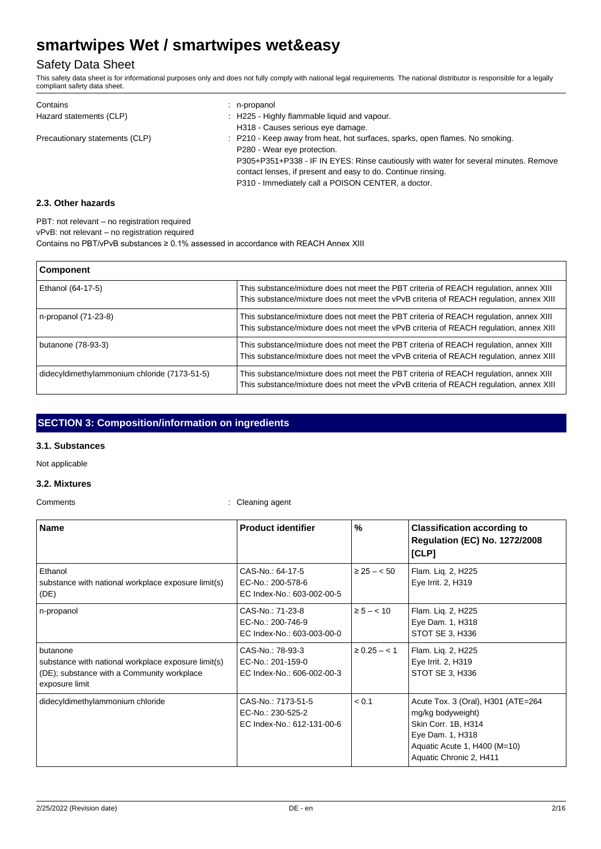## Safety Data Sheet

This safety data sheet is for informational purposes only and does not fully comply with national legal requirements. The national distributor is responsible for a legally compliant safety data sheet.

| Contains                       | n-propanol                                                                           |
|--------------------------------|--------------------------------------------------------------------------------------|
| Hazard statements (CLP)        | : H225 - Highly flammable liquid and vapour.                                         |
|                                | H318 - Causes serious eye damage.                                                    |
| Precautionary statements (CLP) | : P210 - Keep away from heat, hot surfaces, sparks, open flames. No smoking.         |
|                                | P280 - Wear eye protection.                                                          |
|                                | P305+P351+P338 - IF IN EYES: Rinse cautiously with water for several minutes. Remove |
|                                | contact lenses, if present and easy to do. Continue rinsing.                         |
|                                | P310 - Immediately call a POISON CENTER, a doctor.                                   |

### **2.3. Other hazards**

PBT: not relevant – no registration required

vPvB: not relevant – no registration required

Contains no PBT/vPvB substances ≥ 0.1% assessed in accordance with REACH Annex XIII

| Component                                    |                                                                                                                                                                                 |
|----------------------------------------------|---------------------------------------------------------------------------------------------------------------------------------------------------------------------------------|
| Ethanol (64-17-5)                            | This substance/mixture does not meet the PBT criteria of REACH regulation, annex XIII<br>This substance/mixture does not meet the vPvB criteria of REACH regulation, annex XIII |
| n-propanol (71-23-8)                         | This substance/mixture does not meet the PBT criteria of REACH regulation, annex XIII<br>This substance/mixture does not meet the vPvB criteria of REACH regulation, annex XIII |
| butanone (78-93-3)                           | This substance/mixture does not meet the PBT criteria of REACH regulation, annex XIII<br>This substance/mixture does not meet the vPvB criteria of REACH regulation, annex XIII |
| didecyldimethylammonium chloride (7173-51-5) | This substance/mixture does not meet the PBT criteria of REACH regulation, annex XIII<br>This substance/mixture does not meet the vPvB criteria of REACH regulation, annex XIII |

## **SECTION 3: Composition/information on ingredients**

#### **3.1. Substances**

Not applicable

#### **3.2. Mixtures**

Comments : Cleaning agent

| <b>Name</b>                                                                                                                     | <b>Product identifier</b>                                             | %                 | <b>Classification according to</b><br><b>Regulation (EC) No. 1272/2008</b><br>[CLP]                                                                           |
|---------------------------------------------------------------------------------------------------------------------------------|-----------------------------------------------------------------------|-------------------|---------------------------------------------------------------------------------------------------------------------------------------------------------------|
| Ethanol<br>substance with national workplace exposure limit(s)<br>(DE)                                                          | CAS-No.: 64-17-5<br>EC-No.: 200-578-6<br>EC Index-No.: 603-002-00-5   | $\geq 25 - 50$    | Flam. Liq. 2, H225<br>Eye Irrit. 2, H319                                                                                                                      |
| n-propanol                                                                                                                      | CAS-No.: 71-23-8<br>EC-No.: 200-746-9<br>EC Index-No.: 603-003-00-0   | $\ge 5 - < 10$    | Flam. Liq. 2, H225<br>Eye Dam. 1, H318<br>STOT SE 3, H336                                                                                                     |
| butanone<br>substance with national workplace exposure limit(s)<br>(DE); substance with a Community workplace<br>exposure limit | CAS-No.: 78-93-3<br>EC-No.: 201-159-0<br>EC Index-No.: 606-002-00-3   | $\geq 0.25 - 1.1$ | Flam. Lig. 2, H225<br>Eye Irrit. 2, H319<br>STOT SE 3, H336                                                                                                   |
| didecyldimethylammonium chloride                                                                                                | CAS-No.: 7173-51-5<br>EC-No.: 230-525-2<br>EC Index-No.: 612-131-00-6 | < 0.1             | Acute Tox. 3 (Oral), H301 (ATE=264<br>mg/kg bodyweight)<br>Skin Corr. 1B, H314<br>Eye Dam. 1, H318<br>Aquatic Acute 1, H400 (M=10)<br>Aquatic Chronic 2, H411 |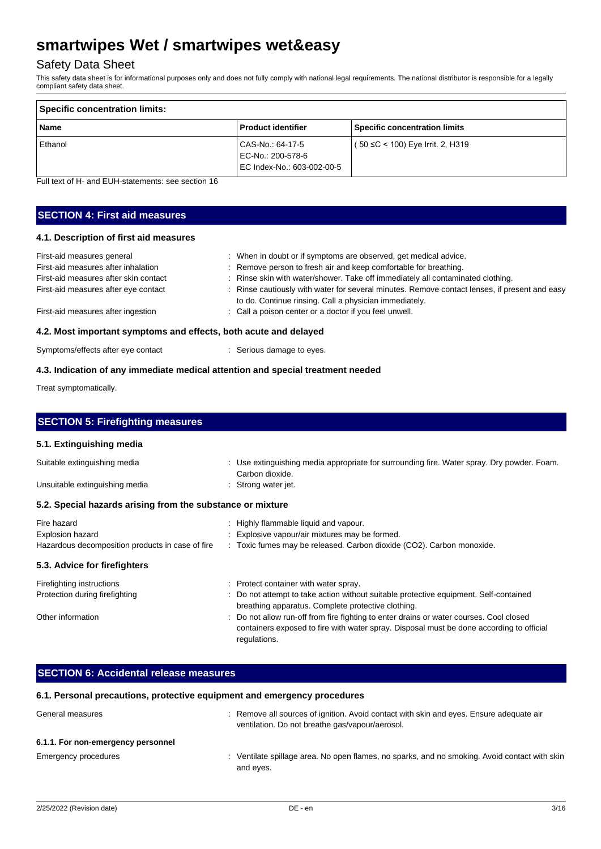## Safety Data Sheet

This safety data sheet is for informational purposes only and does not fully comply with national legal requirements. The national distributor is responsible for a legally compliant safety data sheet.

| Specific concentration limits: |                                                                     |                                      |
|--------------------------------|---------------------------------------------------------------------|--------------------------------------|
| <b>Name</b>                    | <b>Product identifier</b>                                           | <b>Specific concentration limits</b> |
| Ethanol                        | CAS-No.: 64-17-5<br>EC-No.: 200-578-6<br>EC Index-No.: 603-002-00-5 | ( 50 ≤C < 100) Eye Irrit. 2, H319    |

Full text of H- and EUH-statements: see section 16

## **SECTION 4: First aid measures**

## **4.1. Description of first aid measures**

| 4.2. Most important symptoms and effects, both acute and delayed |                                                                                               |
|------------------------------------------------------------------|-----------------------------------------------------------------------------------------------|
| First-aid measures after ingestion                               | : Call a poison center or a doctor if you feel unwell.                                        |
|                                                                  | to do. Continue rinsing. Call a physician immediately.                                        |
| First-aid measures after eye contact                             | : Rinse cautiously with water for several minutes. Remove contact lenses, if present and easy |
| First-aid measures after skin contact                            | : Rinse skin with water/shower. Take off immediately all contaminated clothing.               |
| First-aid measures after inhalation                              | : Remove person to fresh air and keep comfortable for breathing.                              |
| First-aid measures general                                       | : When in doubt or if symptoms are observed, get medical advice.                              |

Symptoms/effects after eye contact : Serious damage to eyes.

### **4.3. Indication of any immediate medical attention and special treatment needed**

Treat symptomatically.

| <b>SECTION 5: Firefighting measures</b>                                             |                                                                                                                                                                                                   |
|-------------------------------------------------------------------------------------|---------------------------------------------------------------------------------------------------------------------------------------------------------------------------------------------------|
| 5.1. Extinguishing media                                                            |                                                                                                                                                                                                   |
| Suitable extinguishing media                                                        | : Use extinguishing media appropriate for surrounding fire. Water spray. Dry powder. Foam.<br>Carbon dioxide.                                                                                     |
| Unsuitable extinguishing media                                                      | : Strong water jet.                                                                                                                                                                               |
| 5.2. Special hazards arising from the substance or mixture                          |                                                                                                                                                                                                   |
| Fire hazard<br>Explosion hazard<br>Hazardous decomposition products in case of fire | : Highly flammable liquid and vapour.<br>Explosive vapour/air mixtures may be formed.<br>: Toxic fumes may be released. Carbon dioxide (CO2). Carbon monoxide.                                    |
| 5.3. Advice for firefighters                                                        |                                                                                                                                                                                                   |
| Firefighting instructions<br>Protection during firefighting                         | : Protect container with water spray.<br>Do not attempt to take action without suitable protective equipment. Self-contained<br>breathing apparatus. Complete protective clothing.                |
| Other information                                                                   | Do not allow run-off from fire fighting to enter drains or water courses. Cool closed<br>containers exposed to fire with water spray. Disposal must be done according to official<br>regulations. |
|                                                                                     |                                                                                                                                                                                                   |
| <b>SECTION 6: Accidental release measures</b>                                       |                                                                                                                                                                                                   |

#### **6.1. Personal precautions, protective equipment and emergency procedures**

| General measures                   | : Remove all sources of ignition. Avoid contact with skin and eyes. Ensure adequate air<br>ventilation. Do not breathe gas/vapour/aerosol. |
|------------------------------------|--------------------------------------------------------------------------------------------------------------------------------------------|
| 6.1.1. For non-emergency personnel |                                                                                                                                            |
| Emergency procedures               | : Ventilate spillage area. No open flames, no sparks, and no smoking. Avoid contact with skin<br>and eves.                                 |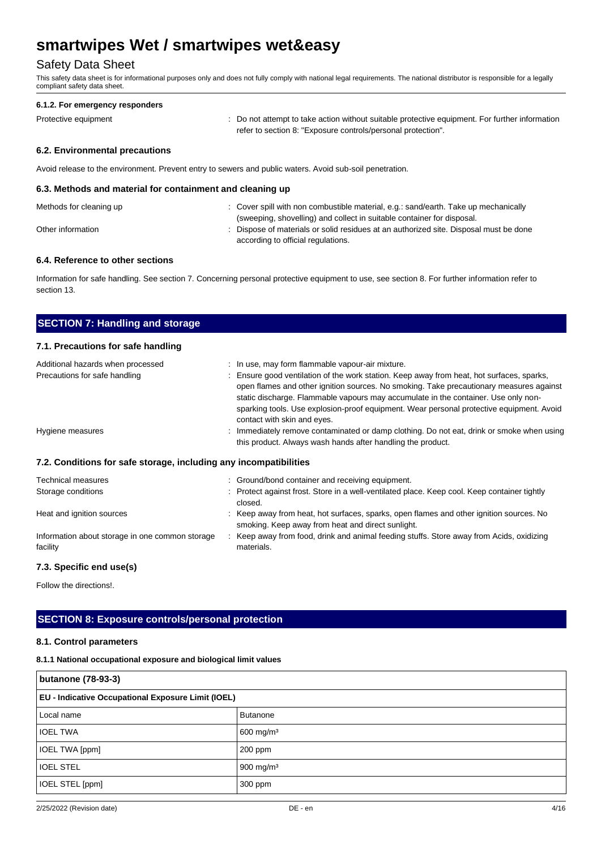## Safety Data Sheet

This safety data sheet is for informational purposes only and does not fully comply with national legal requirements. The national distributor is responsible for a legally compliant safety data sheet.

#### **6.1.2. For emergency responders**

Protective equipment **interval of the CO** not attempt to take action without suitable protective equipment. For further information refer to section 8: "Exposure controls/personal protection".

### **6.2. Environmental precautions**

Avoid release to the environment. Prevent entry to sewers and public waters. Avoid sub-soil penetration.

#### **6.3. Methods and material for containment and cleaning up**

| Methods for cleaning up | : Cover spill with non combustible material, e.g.: sand/earth. Take up mechanically   |
|-------------------------|---------------------------------------------------------------------------------------|
|                         | (sweeping, shovelling) and collect in suitable container for disposal.                |
| Other information       | : Dispose of materials or solid residues at an authorized site. Disposal must be done |
|                         | according to official regulations.                                                    |

### **6.4. Reference to other sections**

Information for safe handling. See section 7. Concerning personal protective equipment to use, see section 8. For further information refer to section 13.

| <b>SECTION 7: Handling and storage</b>                             |                                                                                                                                                                                                                                                                                                                                                                                                                                                           |
|--------------------------------------------------------------------|-----------------------------------------------------------------------------------------------------------------------------------------------------------------------------------------------------------------------------------------------------------------------------------------------------------------------------------------------------------------------------------------------------------------------------------------------------------|
| 7.1. Precautions for safe handling                                 |                                                                                                                                                                                                                                                                                                                                                                                                                                                           |
| Additional hazards when processed<br>Precautions for safe handling | : In use, may form flammable vapour-air mixture.<br>: Ensure good ventilation of the work station. Keep away from heat, hot surfaces, sparks,<br>open flames and other ignition sources. No smoking. Take precautionary measures against<br>static discharge. Flammable vapours may accumulate in the container. Use only non-<br>sparking tools. Use explosion-proof equipment. Wear personal protective equipment. Avoid<br>contact with skin and eyes. |
| Hygiene measures                                                   | Immediately remove contaminated or damp clothing. Do not eat, drink or smoke when using<br>this product. Always wash hands after handling the product.                                                                                                                                                                                                                                                                                                    |
| 7.2. Conditions for safe storage, including any incompatibilities  |                                                                                                                                                                                                                                                                                                                                                                                                                                                           |
| <b>Technical measures</b>                                          | : Ground/bond container and receiving equipment.                                                                                                                                                                                                                                                                                                                                                                                                          |
| Storage conditions                                                 | : Protect against frost. Store in a well-ventilated place. Keep cool. Keep container tightly<br>closed.                                                                                                                                                                                                                                                                                                                                                   |
| Heat and ignition sources                                          | : Keep away from heat, hot surfaces, sparks, open flames and other ignition sources. No<br>smoking. Keep away from heat and direct sunlight.                                                                                                                                                                                                                                                                                                              |
| Information about storage in one common storage<br>facility        | : Keep away from food, drink and animal feeding stuffs. Store away from Acids, oxidizing<br>materials.                                                                                                                                                                                                                                                                                                                                                    |

### **7.3. Specific end use(s)**

Follow the directions!.

## **SECTION 8: Exposure controls/personal protection**

#### **8.1. Control parameters**

#### **8.1.1 National occupational exposure and biological limit values**

| butanone (78-93-3)                                        |                       |  |
|-----------------------------------------------------------|-----------------------|--|
| <b>EU - Indicative Occupational Exposure Limit (IOEL)</b> |                       |  |
| Local name                                                | <b>Butanone</b>       |  |
| <b>IOEL TWA</b>                                           | 600 mg/m <sup>3</sup> |  |
| IOEL TWA [ppm]                                            | $200$ ppm             |  |
| <b>IOEL STEL</b>                                          | $900 \text{ mg/m}^3$  |  |
| IOEL STEL [ppm]                                           | 300 ppm               |  |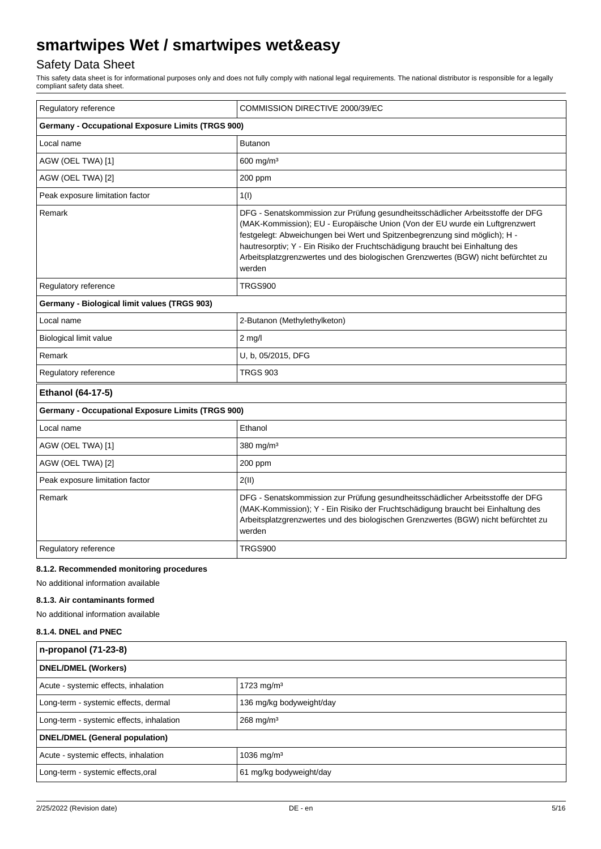## Safety Data Sheet

This safety data sheet is for informational purposes only and does not fully comply with national legal requirements. The national distributor is responsible for a legally compliant safety data sheet.

| Regulatory reference                                     | COMMISSION DIRECTIVE 2000/39/EC                                                                                                                                                                                                                                                                                                                                                                                                |  |
|----------------------------------------------------------|--------------------------------------------------------------------------------------------------------------------------------------------------------------------------------------------------------------------------------------------------------------------------------------------------------------------------------------------------------------------------------------------------------------------------------|--|
| <b>Germany - Occupational Exposure Limits (TRGS 900)</b> |                                                                                                                                                                                                                                                                                                                                                                                                                                |  |
| Local name                                               | <b>Butanon</b>                                                                                                                                                                                                                                                                                                                                                                                                                 |  |
| AGW (OEL TWA) [1]                                        | $600$ mg/m <sup>3</sup>                                                                                                                                                                                                                                                                                                                                                                                                        |  |
| AGW (OEL TWA) [2]                                        | 200 ppm                                                                                                                                                                                                                                                                                                                                                                                                                        |  |
| Peak exposure limitation factor                          | 1(1)                                                                                                                                                                                                                                                                                                                                                                                                                           |  |
| Remark                                                   | DFG - Senatskommission zur Prüfung gesundheitsschädlicher Arbeitsstoffe der DFG<br>(MAK-Kommission); EU - Europäische Union (Von der EU wurde ein Luftgrenzwert<br>festgelegt: Abweichungen bei Wert und Spitzenbegrenzung sind möglich); H -<br>hautresorptiv; Y - Ein Risiko der Fruchtschädigung braucht bei Einhaltung des<br>Arbeitsplatzgrenzwertes und des biologischen Grenzwertes (BGW) nicht befürchtet zu<br>werden |  |
| Regulatory reference                                     | <b>TRGS900</b>                                                                                                                                                                                                                                                                                                                                                                                                                 |  |
| Germany - Biological limit values (TRGS 903)             |                                                                                                                                                                                                                                                                                                                                                                                                                                |  |
| Local name                                               | 2-Butanon (Methylethylketon)                                                                                                                                                                                                                                                                                                                                                                                                   |  |
| Biological limit value                                   | $2$ mg/l                                                                                                                                                                                                                                                                                                                                                                                                                       |  |
| Remark                                                   | U, b, 05/2015, DFG                                                                                                                                                                                                                                                                                                                                                                                                             |  |
| Regulatory reference                                     | <b>TRGS 903</b>                                                                                                                                                                                                                                                                                                                                                                                                                |  |
| Ethanol (64-17-5)                                        |                                                                                                                                                                                                                                                                                                                                                                                                                                |  |
| <b>Germany - Occupational Exposure Limits (TRGS 900)</b> |                                                                                                                                                                                                                                                                                                                                                                                                                                |  |
| Local name                                               | Ethanol                                                                                                                                                                                                                                                                                                                                                                                                                        |  |
| 380 mg/m <sup>3</sup><br>AGW (OEL TWA) [1]               |                                                                                                                                                                                                                                                                                                                                                                                                                                |  |
| AGW (OEL TWA) [2]                                        | 200 ppm                                                                                                                                                                                                                                                                                                                                                                                                                        |  |
| Peak exposure limitation factor                          | 2(II)                                                                                                                                                                                                                                                                                                                                                                                                                          |  |
| Remark                                                   | DFG - Senatskommission zur Prüfung gesundheitsschädlicher Arbeitsstoffe der DFG<br>(MAK-Kommission); Y - Ein Risiko der Fruchtschädigung braucht bei Einhaltung des<br>Arbeitsplatzgrenzwertes und des biologischen Grenzwertes (BGW) nicht befürchtet zu<br>werden                                                                                                                                                            |  |
| Regulatory reference                                     | <b>TRGS900</b>                                                                                                                                                                                                                                                                                                                                                                                                                 |  |

#### **8.1.2. Recommended monitoring procedures**

No additional information available

### **8.1.3. Air contaminants formed**

No additional information available

#### **8.1.4. DNEL and PNEC**

| n-propanol (71-23-8)                     |                          |  |
|------------------------------------------|--------------------------|--|
| <b>DNEL/DMEL (Workers)</b>               |                          |  |
| Acute - systemic effects, inhalation     | 1723 mg/m <sup>3</sup>   |  |
| Long-term - systemic effects, dermal     | 136 mg/kg bodyweight/day |  |
| Long-term - systemic effects, inhalation | $268$ mg/m <sup>3</sup>  |  |
| DNEL/DMEL (General population)           |                          |  |
| Acute - systemic effects, inhalation     | 1036 mg/m <sup>3</sup>   |  |
| Long-term - systemic effects, oral       | 61 mg/kg bodyweight/day  |  |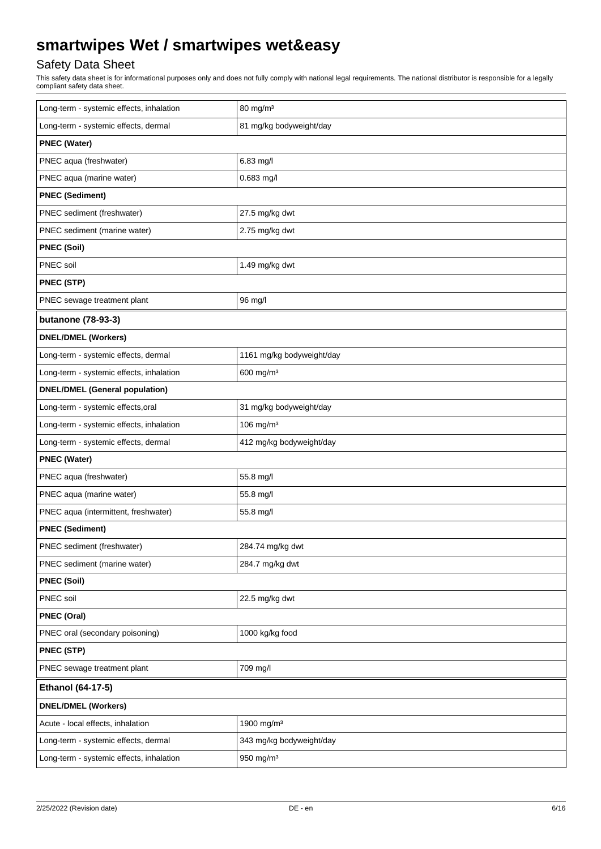## Safety Data Sheet

This safety data sheet is for informational purposes only and does not fully comply with national legal requirements. The national distributor is responsible for a legally compliant safety data sheet.

| Long-term - systemic effects, inhalation | 80 mg/m <sup>3</sup>      |  |
|------------------------------------------|---------------------------|--|
| Long-term - systemic effects, dermal     | 81 mg/kg bodyweight/day   |  |
| <b>PNEC (Water)</b>                      |                           |  |
| PNEC aqua (freshwater)                   | 6.83 mg/l                 |  |
| PNEC aqua (marine water)                 | 0.683 mg/l                |  |
| <b>PNEC (Sediment)</b>                   |                           |  |
| PNEC sediment (freshwater)               | 27.5 mg/kg dwt            |  |
| PNEC sediment (marine water)             | 2.75 mg/kg dwt            |  |
| <b>PNEC (Soil)</b>                       |                           |  |
| PNEC soil                                | 1.49 mg/kg dwt            |  |
| <b>PNEC (STP)</b>                        |                           |  |
| PNEC sewage treatment plant              | 96 mg/l                   |  |
| butanone (78-93-3)                       |                           |  |
| <b>DNEL/DMEL (Workers)</b>               |                           |  |
| Long-term - systemic effects, dermal     | 1161 mg/kg bodyweight/day |  |
| Long-term - systemic effects, inhalation | 600 mg/m <sup>3</sup>     |  |
| <b>DNEL/DMEL (General population)</b>    |                           |  |
| Long-term - systemic effects, oral       | 31 mg/kg bodyweight/day   |  |
| Long-term - systemic effects, inhalation | $106$ mg/m <sup>3</sup>   |  |
| Long-term - systemic effects, dermal     | 412 mg/kg bodyweight/day  |  |
| <b>PNEC (Water)</b>                      |                           |  |
| PNEC aqua (freshwater)                   | 55.8 mg/l                 |  |
| PNEC aqua (marine water)                 | 55.8 mg/l                 |  |
| PNEC aqua (intermittent, freshwater)     | 55.8 mg/l                 |  |
| <b>PNEC (Sediment)</b>                   |                           |  |
| PNEC sediment (freshwater)               | 284.74 mg/kg dwt          |  |
| PNEC sediment (marine water)             | 284.7 mg/kg dwt           |  |
| <b>PNEC (Soil)</b>                       |                           |  |
| PNEC soil                                | 22.5 mg/kg dwt            |  |
| <b>PNEC (Oral)</b>                       |                           |  |
| PNEC oral (secondary poisoning)          | 1000 kg/kg food           |  |
| PNEC (STP)                               |                           |  |
| PNEC sewage treatment plant              | 709 mg/l                  |  |
| Ethanol (64-17-5)                        |                           |  |
| <b>DNEL/DMEL (Workers)</b>               |                           |  |
| Acute - local effects, inhalation        | 1900 mg/m <sup>3</sup>    |  |
| Long-term - systemic effects, dermal     | 343 mg/kg bodyweight/day  |  |
| Long-term - systemic effects, inhalation | 950 mg/m $3$              |  |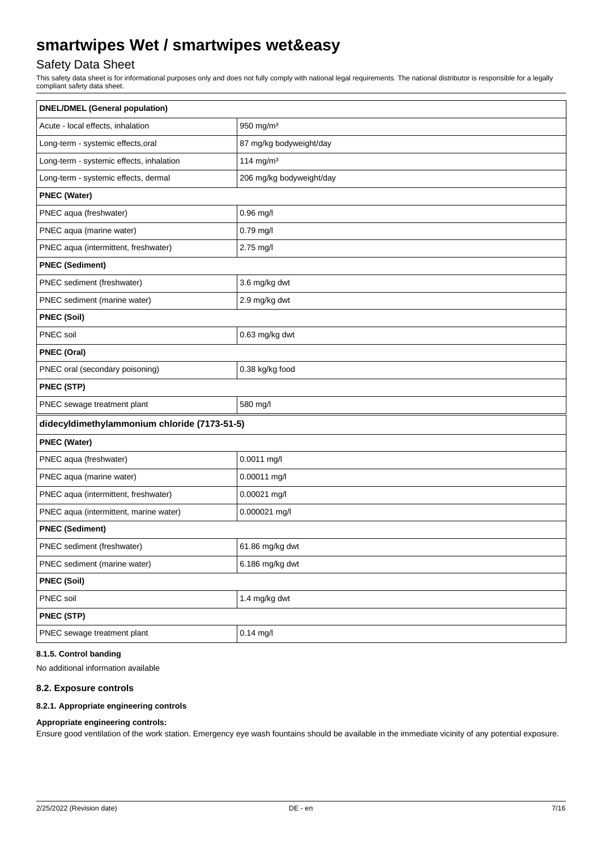## Safety Data Sheet

This safety data sheet is for informational purposes only and does not fully comply with national legal requirements. The national distributor is responsible for a legally compliant safety data sheet.

| <b>DNEL/DMEL (General population)</b>        |                          |  |
|----------------------------------------------|--------------------------|--|
| Acute - local effects, inhalation            | 950 mg/m <sup>3</sup>    |  |
| Long-term - systemic effects, oral           | 87 mg/kg bodyweight/day  |  |
| Long-term - systemic effects, inhalation     | 114 mg/m $3$             |  |
| Long-term - systemic effects, dermal         | 206 mg/kg bodyweight/day |  |
| <b>PNEC (Water)</b>                          |                          |  |
| PNEC aqua (freshwater)                       | $0.96$ mg/l              |  |
| PNEC aqua (marine water)                     | 0.79 mg/l                |  |
| PNEC aqua (intermittent, freshwater)         | 2.75 mg/l                |  |
| <b>PNEC (Sediment)</b>                       |                          |  |
| PNEC sediment (freshwater)                   | 3.6 mg/kg dwt            |  |
| PNEC sediment (marine water)                 | 2.9 mg/kg dwt            |  |
| <b>PNEC (Soil)</b>                           |                          |  |
| PNEC soil                                    | 0.63 mg/kg dwt           |  |
| <b>PNEC (Oral)</b>                           |                          |  |
| PNEC oral (secondary poisoning)              | 0.38 kg/kg food          |  |
| PNEC (STP)                                   |                          |  |
| PNEC sewage treatment plant                  | 580 mg/l                 |  |
| didecyldimethylammonium chloride (7173-51-5) |                          |  |
| <b>PNEC (Water)</b>                          |                          |  |
| PNEC aqua (freshwater)                       | 0.0011 mg/l              |  |
| PNEC aqua (marine water)                     | 0.00011 mg/l             |  |
| PNEC aqua (intermittent, freshwater)         | 0.00021 mg/l             |  |
| PNEC aqua (intermittent, marine water)       | 0.000021 mg/l            |  |
| <b>PNEC (Sediment)</b>                       |                          |  |
| PNEC sediment (freshwater)                   | 61.86 mg/kg dwt          |  |
| PNEC sediment (marine water)                 | 6.186 mg/kg dwt          |  |
| <b>PNEC (Soil)</b>                           |                          |  |
| PNEC soil                                    | 1.4 mg/kg dwt            |  |
| PNEC (STP)                                   |                          |  |
| PNEC sewage treatment plant                  | $0.14$ mg/l              |  |

## **8.1.5. Control banding**

No additional information available

#### **8.2. Exposure controls**

#### **8.2.1. Appropriate engineering controls**

### **Appropriate engineering controls:**

Ensure good ventilation of the work station. Emergency eye wash fountains should be available in the immediate vicinity of any potential exposure.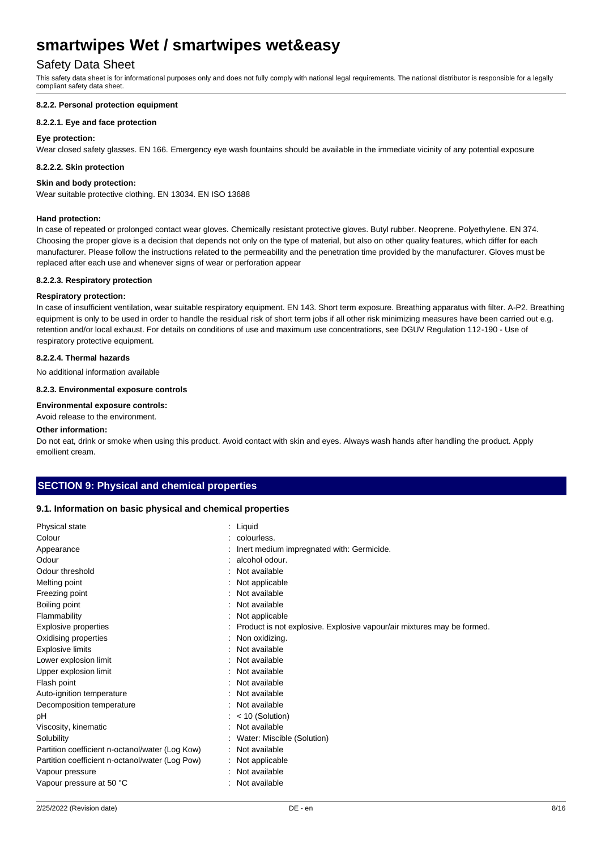## Safety Data Sheet

This safety data sheet is for informational purposes only and does not fully comply with national legal requirements. The national distributor is responsible for a legally compliant safety data sheet.

#### **8.2.2. Personal protection equipment**

#### **8.2.2.1. Eye and face protection**

#### **Eye protection:**

Wear closed safety glasses. EN 166. Emergency eye wash fountains should be available in the immediate vicinity of any potential exposure

#### **8.2.2.2. Skin protection**

#### **Skin and body protection:**

Wear suitable protective clothing. EN 13034. EN ISO 13688

#### **Hand protection:**

In case of repeated or prolonged contact wear gloves. Chemically resistant protective gloves. Butyl rubber. Neoprene. Polyethylene. EN 374. Choosing the proper glove is a decision that depends not only on the type of material, but also on other quality features, which differ for each manufacturer. Please follow the instructions related to the permeability and the penetration time provided by the manufacturer. Gloves must be replaced after each use and whenever signs of wear or perforation appear

#### **8.2.2.3. Respiratory protection**

#### **Respiratory protection:**

In case of insufficient ventilation, wear suitable respiratory equipment. EN 143. Short term exposure. Breathing apparatus with filter. A-P2. Breathing equipment is only to be used in order to handle the residual risk of short term jobs if all other risk minimizing measures have been carried out e.g. retention and/or local exhaust. For details on conditions of use and maximum use concentrations, see DGUV Regulation 112-190 - Use of respiratory protective equipment.

#### **8.2.2.4. Thermal hazards**

No additional information available

#### **8.2.3. Environmental exposure controls**

#### **Environmental exposure controls:**

Avoid release to the environment.

#### **Other information:**

Do not eat, drink or smoke when using this product. Avoid contact with skin and eyes. Always wash hands after handling the product. Apply emollient cream.

#### **SECTION 9: Physical and chemical properties**

#### **9.1. Information on basic physical and chemical properties**

| Physical state                                  | : Liquid                                                               |
|-------------------------------------------------|------------------------------------------------------------------------|
| Colour                                          | colourless.                                                            |
| Appearance                                      | Inert medium impregnated with: Germicide.                              |
| Odour                                           | alcohol odour.                                                         |
| Odour threshold                                 | Not available                                                          |
| Melting point                                   | Not applicable                                                         |
| Freezing point                                  | Not available                                                          |
| Boiling point                                   | Not available                                                          |
| Flammability                                    | Not applicable                                                         |
| <b>Explosive properties</b>                     | Product is not explosive. Explosive vapour/air mixtures may be formed. |
| Oxidising properties                            | Non oxidizing.                                                         |
| <b>Explosive limits</b>                         | Not available                                                          |
| Lower explosion limit                           | Not available                                                          |
| Upper explosion limit                           | Not available                                                          |
| Flash point                                     | Not available                                                          |
| Auto-ignition temperature                       | Not available                                                          |
| Decomposition temperature                       | Not available                                                          |
| pН                                              | $: < 10$ (Solution)                                                    |
| Viscosity, kinematic                            | Not available                                                          |
| Solubility                                      | Water: Miscible (Solution)                                             |
| Partition coefficient n-octanol/water (Log Kow) | : Not available                                                        |
| Partition coefficient n-octanol/water (Log Pow) | : Not applicable                                                       |
| Vapour pressure                                 | Not available                                                          |
| Vapour pressure at 50 °C                        | Not available                                                          |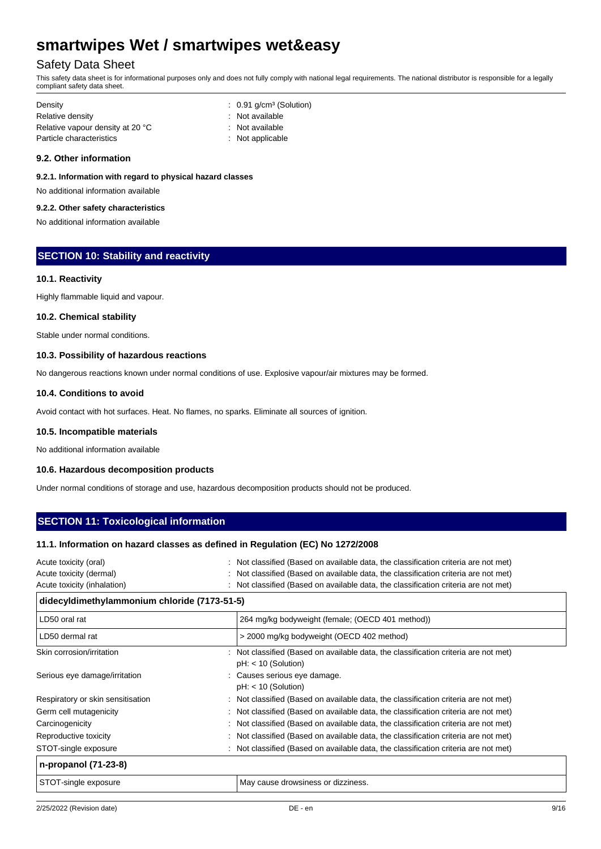## Safety Data Sheet

This safety data sheet is for informational purposes only and does not fully comply with national legal requirements. The national distributor is responsible for a legally compliant safety data sheet.

| Density                          | $\therefore$ 0.91 g/cm <sup>3</sup> (Solution) |
|----------------------------------|------------------------------------------------|
| Relative density                 | : Not available                                |
| Relative vapour density at 20 °C | : Not available                                |
| Particle characteristics         | $:$ Not applicable                             |

#### **9.2. Other information**

**9.2.1. Information with regard to physical hazard classes**

No additional information available

## **9.2.2. Other safety characteristics**

No additional information available

## **SECTION 10: Stability and reactivity**

#### **10.1. Reactivity**

Highly flammable liquid and vapour.

#### **10.2. Chemical stability**

Stable under normal conditions.

#### **10.3. Possibility of hazardous reactions**

No dangerous reactions known under normal conditions of use. Explosive vapour/air mixtures may be formed.

#### **10.4. Conditions to avoid**

Avoid contact with hot surfaces. Heat. No flames, no sparks. Eliminate all sources of ignition.

#### **10.5. Incompatible materials**

No additional information available

#### **10.6. Hazardous decomposition products**

Under normal conditions of storage and use, hazardous decomposition products should not be produced.

## **SECTION 11: Toxicological information**

#### **11.1. Information on hazard classes as defined in Regulation (EC) No 1272/2008**

| Acute toxicity (oral)                        | : Not classified (Based on available data, the classification criteria are not met)                          |  |
|----------------------------------------------|--------------------------------------------------------------------------------------------------------------|--|
| Acute toxicity (dermal)                      | Not classified (Based on available data, the classification criteria are not met)                            |  |
| Acute toxicity (inhalation)                  | : Not classified (Based on available data, the classification criteria are not met)                          |  |
| didecyldimethylammonium chloride (7173-51-5) |                                                                                                              |  |
| LD50 oral rat                                | 264 mg/kg bodyweight (female; (OECD 401 method))                                                             |  |
| LD50 dermal rat                              | > 2000 mg/kg bodyweight (OECD 402 method)                                                                    |  |
| Skin corrosion/irritation                    | : Not classified (Based on available data, the classification criteria are not met)<br>$pH: < 10$ (Solution) |  |
| Serious eye damage/irritation                | : Causes serious eye damage.<br>$pH: < 10$ (Solution)                                                        |  |
| Respiratory or skin sensitisation            | : Not classified (Based on available data, the classification criteria are not met)                          |  |
| Germ cell mutagenicity                       | : Not classified (Based on available data, the classification criteria are not met)                          |  |
| Carcinogenicity                              | : Not classified (Based on available data, the classification criteria are not met)                          |  |
| Reproductive toxicity                        | : Not classified (Based on available data, the classification criteria are not met)                          |  |
| STOT-single exposure                         | : Not classified (Based on available data, the classification criteria are not met)                          |  |
| n-propanol (71-23-8)                         |                                                                                                              |  |
| STOT-single exposure                         | May cause drowsiness or dizziness.                                                                           |  |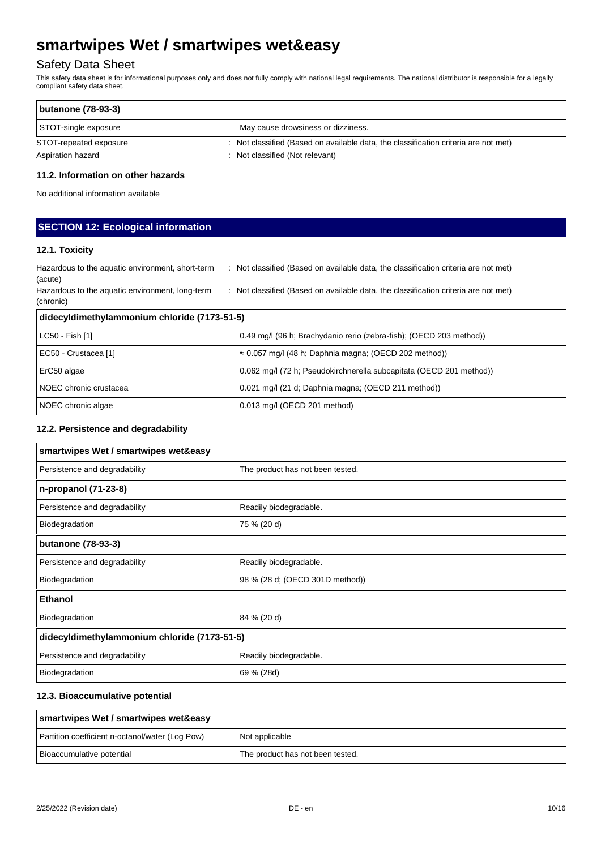## Safety Data Sheet

This safety data sheet is for informational purposes only and does not fully comply with national legal requirements. The national distributor is responsible for a legally compliant safety data sheet.

| <b>butanone (78-93-3)</b> |                                                                                     |  |
|---------------------------|-------------------------------------------------------------------------------------|--|
| STOT-single exposure      | May cause drowsiness or dizziness.                                                  |  |
| STOT-repeated exposure    | : Not classified (Based on available data, the classification criteria are not met) |  |
| Aspiration hazard         | : Not classified (Not relevant)                                                     |  |

### **11.2. Information on other hazards**

No additional information available

## **SECTION 12: Ecological information**

### **12.1. Toxicity**

| didecyldimethylammonium chloride (7173-51-5)                 |                                                                                     |
|--------------------------------------------------------------|-------------------------------------------------------------------------------------|
| Hazardous to the aquatic environment, long-term<br>(chronic) | : Not classified (Based on available data, the classification criteria are not met) |
| Hazardous to the aquatic environment, short-term<br>(acute)  | : Not classified (Based on available data, the classification criteria are not met) |

| LC50 - Fish [1]          | 0.49 mg/l (96 h; Brachydanio rerio (zebra-fish); (OECD 203 method)) |  |
|--------------------------|---------------------------------------------------------------------|--|
| EC50 - Crustacea [1]     | $\approx 0.057$ mg/l (48 h; Daphnia magna; (OECD 202 method))       |  |
| ErC50 algae              | 0.062 mg/l (72 h; Pseudokirchnerella subcapitata (OECD 201 method)) |  |
| l NOEC chronic crustacea | 0.021 mg/l (21 d; Daphnia magna; (OECD 211 method))                 |  |
| NOEC chronic algae       | 0.013 mg/l (OECD 201 method)                                        |  |

### **12.2. Persistence and degradability**

| smartwipes Wet / smartwipes wet&easy         |                                  |  |
|----------------------------------------------|----------------------------------|--|
| Persistence and degradability                | The product has not been tested. |  |
| n-propanol (71-23-8)                         |                                  |  |
| Persistence and degradability                | Readily biodegradable.           |  |
| Biodegradation                               | 75 % (20 d)                      |  |
| butanone (78-93-3)                           |                                  |  |
| Persistence and degradability                | Readily biodegradable.           |  |
| Biodegradation                               | 98 % (28 d; (OECD 301D method))  |  |
| <b>Ethanol</b>                               |                                  |  |
| Biodegradation                               | 84 % (20 d)                      |  |
| didecyldimethylammonium chloride (7173-51-5) |                                  |  |
| Persistence and degradability                | Readily biodegradable.           |  |
| Biodegradation                               | 69 % (28d)                       |  |

### **12.3. Bioaccumulative potential**

| smartwipes Wet / smartwipes wet&easy            |                                  |  |
|-------------------------------------------------|----------------------------------|--|
| Partition coefficient n-octanol/water (Log Pow) | Not applicable                   |  |
| Bioaccumulative potential                       | The product has not been tested. |  |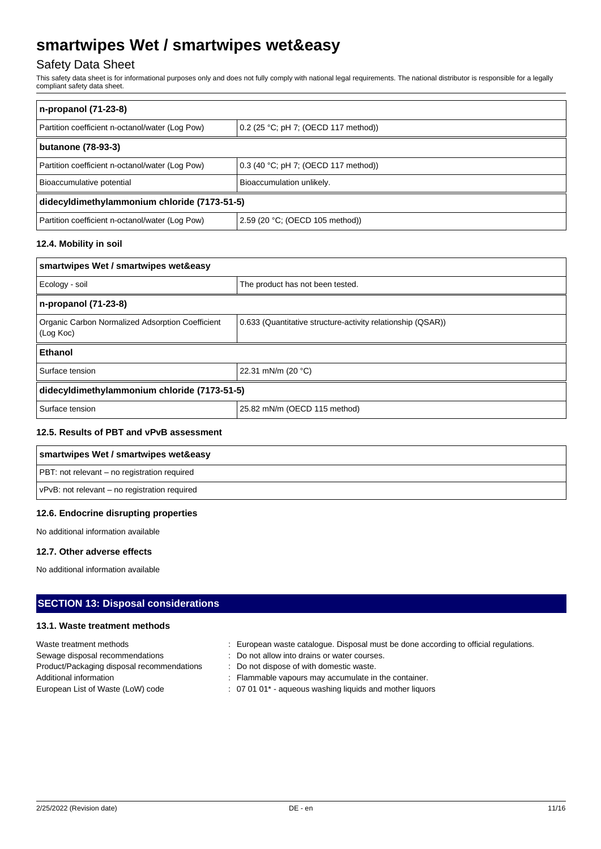## Safety Data Sheet

This safety data sheet is for informational purposes only and does not fully comply with national legal requirements. The national distributor is responsible for a legally compliant safety data sheet.

| n-propanol (71-23-8)                            |                                      |  |  |  |
|-------------------------------------------------|--------------------------------------|--|--|--|
| Partition coefficient n-octanol/water (Log Pow) | 0.2 (25 °C; pH 7; (OECD 117 method)) |  |  |  |
| butanone (78-93-3)                              |                                      |  |  |  |
| Partition coefficient n-octanol/water (Log Pow) | 0.3 (40 °C; pH 7; (OECD 117 method)) |  |  |  |
| Bioaccumulative potential                       | Bioaccumulation unlikely.            |  |  |  |
| didecyldimethylammonium chloride (7173-51-5)    |                                      |  |  |  |
| Partition coefficient n-octanol/water (Log Pow) | 2.59 (20 °C; (OECD 105 method))      |  |  |  |

### **12.4. Mobility in soil**

| smartwipes Wet / smartwipes wet&easy                          |                                                             |  |  |  |
|---------------------------------------------------------------|-------------------------------------------------------------|--|--|--|
| Ecology - soil                                                | The product has not been tested.                            |  |  |  |
| n-propanol (71-23-8)                                          |                                                             |  |  |  |
| Organic Carbon Normalized Adsorption Coefficient<br>(Log Koc) | 0.633 (Quantitative structure-activity relationship (QSAR)) |  |  |  |
| Ethanol                                                       |                                                             |  |  |  |
| 22.31 mN/m (20 °C)<br>Surface tension                         |                                                             |  |  |  |
| didecyldimethylammonium chloride (7173-51-5)                  |                                                             |  |  |  |
| Surface tension                                               | 25.82 mN/m (OECD 115 method)                                |  |  |  |

## **12.5. Results of PBT and vPvB assessment**

| smartwipes Wet / smartwipes wet&easy          |
|-----------------------------------------------|
| PBT: not relevant – no registration required  |
| vPvB: not relevant – no registration required |

#### **12.6. Endocrine disrupting properties**

No additional information available

#### **12.7. Other adverse effects**

No additional information available

## **SECTION 13: Disposal considerations**

### **13.1. Waste treatment methods**

| Waste treatment methods                    | European waste catalogue. Disposal must be done according to official regulations. |
|--------------------------------------------|------------------------------------------------------------------------------------|
| Sewage disposal recommendations            | : Do not allow into drains or water courses.                                       |
| Product/Packaging disposal recommendations | : Do not dispose of with domestic waste.                                           |
| Additional information                     | : Flammable vapours may accumulate in the container.                               |
| European List of Waste (LoW) code          | : 07 01 01* - aqueous washing liquids and mother liquors                           |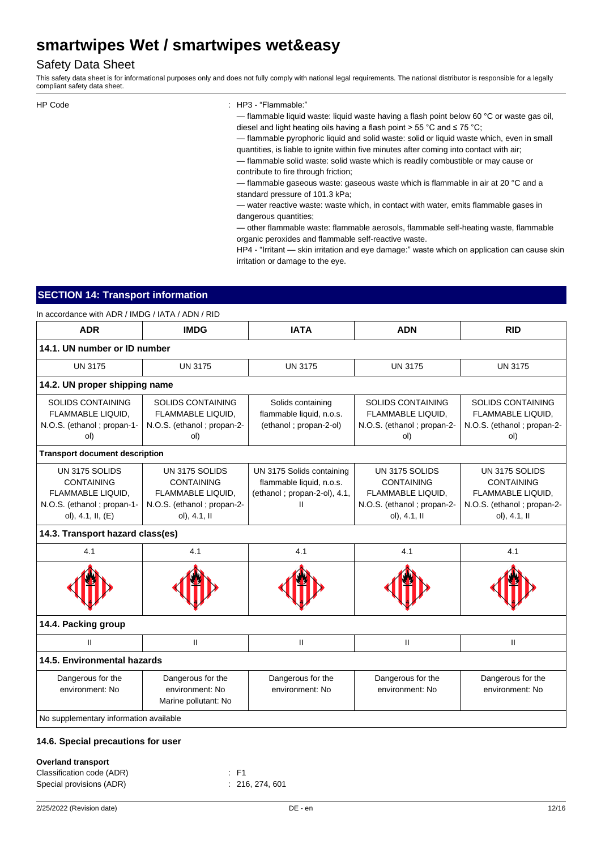## Safety Data Sheet

This safety data sheet is for informational purposes only and does not fully comply with national legal requirements. The national distributor is responsible for a legally compliant safety data sheet.

```
HP Code : HP3 - "Flammable:"
```
— flammable liquid waste: liquid waste having a flash point below 60 °C or waste gas oil, diesel and light heating oils having a flash point > 55 °C and ≤ 75 °C;

— flammable pyrophoric liquid and solid waste: solid or liquid waste which, even in small quantities, is liable to ignite within five minutes after coming into contact with air;

— flammable solid waste: solid waste which is readily combustible or may cause or contribute to fire through friction;

— flammable gaseous waste: gaseous waste which is flammable in air at 20 °C and a standard pressure of 101.3 kPa;

— water reactive waste: waste which, in contact with water, emits flammable gases in dangerous quantities;

— other flammable waste: flammable aerosols, flammable self-heating waste, flammable organic peroxides and flammable self-reactive waste.

HP4 - "Irritant — skin irritation and eye damage:" waste which on application can cause skin irritation or damage to the eye.

## **SECTION 14: Transport information**

In accordance with ADR / IMDG / IATA / ADN / RID

| <b>ADR</b>                                                                                                  | <b>IMDG</b>                                                                                            | <b>IATA</b>                                                                                | <b>ADN</b>                                                                                              | <b>RID</b>                                                                                             |
|-------------------------------------------------------------------------------------------------------------|--------------------------------------------------------------------------------------------------------|--------------------------------------------------------------------------------------------|---------------------------------------------------------------------------------------------------------|--------------------------------------------------------------------------------------------------------|
| 14.1. UN number or ID number                                                                                |                                                                                                        |                                                                                            |                                                                                                         |                                                                                                        |
| <b>UN 3175</b>                                                                                              | <b>UN 3175</b>                                                                                         | <b>UN 3175</b>                                                                             | <b>UN 3175</b>                                                                                          | <b>UN 3175</b>                                                                                         |
| 14.2. UN proper shipping name                                                                               |                                                                                                        |                                                                                            |                                                                                                         |                                                                                                        |
| <b>SOLIDS CONTAINING</b><br>FLAMMABLE LIQUID,<br>N.O.S. (ethanol; propan-1-<br>ol)                          | <b>SOLIDS CONTAINING</b><br>FLAMMABLE LIQUID,<br>N.O.S. (ethanol; propan-2-<br>ol)                     | Solids containing<br>flammable liquid, n.o.s.<br>(ethanol; propan-2-ol)                    | <b>SOLIDS CONTAINING</b><br>FLAMMABLE LIQUID,<br>N.O.S. (ethanol; propan-2-<br>ol)                      | <b>SOLIDS CONTAINING</b><br>FLAMMABLE LIQUID,<br>N.O.S. (ethanol; propan-2-<br>ol)                     |
| <b>Transport document description</b>                                                                       |                                                                                                        |                                                                                            |                                                                                                         |                                                                                                        |
| UN 3175 SOLIDS<br><b>CONTAINING</b><br>FLAMMABLE LIQUID.<br>N.O.S. (ethanol; propan-1-<br>ol), 4.1, II, (E) | UN 3175 SOLIDS<br><b>CONTAINING</b><br>FLAMMABLE LIQUID.<br>N.O.S. (ethanol; propan-2-<br>ol), 4.1, II | UN 3175 Solids containing<br>flammable liquid, n.o.s.<br>(ethanol; propan-2-ol), 4.1,<br>Ш | UN 3175 SOLIDS<br><b>CONTAINING</b><br>FLAMMABLE LIQUID.<br>N.O.S. (ethanol ; propan-2-<br>ol), 4.1, II | UN 3175 SOLIDS<br><b>CONTAINING</b><br>FLAMMABLE LIQUID.<br>N.O.S. (ethanol; propan-2-<br>ol), 4.1, II |
| 14.3. Transport hazard class(es)                                                                            |                                                                                                        |                                                                                            |                                                                                                         |                                                                                                        |
| 4.1                                                                                                         | 4.1                                                                                                    | 4.1                                                                                        | 4.1                                                                                                     | 4.1                                                                                                    |
|                                                                                                             |                                                                                                        |                                                                                            |                                                                                                         |                                                                                                        |
| 14.4. Packing group                                                                                         |                                                                                                        |                                                                                            |                                                                                                         |                                                                                                        |
| $\mathbf{H}$                                                                                                | $\mathbf{H}$                                                                                           | $\mathbf{II}$                                                                              | $\mathbf{H}$                                                                                            | Ш                                                                                                      |
| 14.5. Environmental hazards                                                                                 |                                                                                                        |                                                                                            |                                                                                                         |                                                                                                        |
| Dangerous for the<br>environment: No                                                                        | Dangerous for the<br>environment: No<br>Marine pollutant: No                                           | Dangerous for the<br>environment: No                                                       | Dangerous for the<br>environment: No                                                                    | Dangerous for the<br>environment: No                                                                   |
| No supplementary information available                                                                      |                                                                                                        |                                                                                            |                                                                                                         |                                                                                                        |

#### **14.6. Special precautions for user**

#### **Overland transport**

| Classification code (ADR) | $\pm$ F1 |                 |
|---------------------------|----------|-----------------|
| Special provisions (ADR)  |          | : 216, 274, 601 |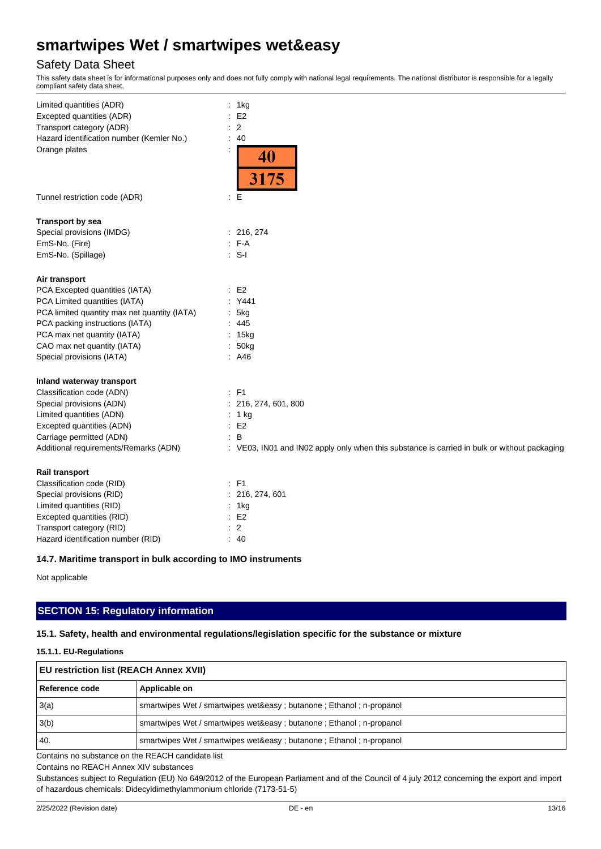## Safety Data Sheet

This safety data sheet is for informational purposes only and does not fully comply with national legal requirements. The national distributor is responsible for a legally compliant safety data sheet.

| Limited quantities (ADR)                     | ÷<br>1kg                                                                                     |
|----------------------------------------------|----------------------------------------------------------------------------------------------|
| Excepted quantities (ADR)                    | E <sub>2</sub>                                                                               |
| Transport category (ADR)                     | 2                                                                                            |
| Hazard identification number (Kemler No.)    | 40<br>÷                                                                                      |
| Orange plates                                | 40<br>3175                                                                                   |
| Tunnel restriction code (ADR)                | E<br>÷                                                                                       |
| <b>Transport by sea</b>                      |                                                                                              |
| Special provisions (IMDG)                    | : 216, 274                                                                                   |
| EmS-No. (Fire)                               | $F-A$<br>$\bullet$                                                                           |
| EmS-No. (Spillage)                           | $\cdot$ S-I                                                                                  |
| Air transport                                |                                                                                              |
| PCA Excepted quantities (IATA)               | E2                                                                                           |
| PCA Limited quantities (IATA)                | Y441                                                                                         |
| PCA limited quantity max net quantity (IATA) | 5kg                                                                                          |
| PCA packing instructions (IATA)              | : 445                                                                                        |
| PCA max net quantity (IATA)                  | : 15kg                                                                                       |
| CAO max net quantity (IATA)                  | 50kg                                                                                         |
| Special provisions (IATA)                    | : A46                                                                                        |
| Inland waterway transport                    |                                                                                              |
| Classification code (ADN)                    | $E = F1$                                                                                     |
| Special provisions (ADN)                     | 216, 274, 601, 800                                                                           |
| Limited quantities (ADN)                     | : $1 \text{ kg}$                                                                             |
| Excepted quantities (ADN)                    | $\therefore$ E2                                                                              |
| Carriage permitted (ADN)                     | B                                                                                            |
| Additional requirements/Remarks (ADN)        | : VE03, IN01 and IN02 apply only when this substance is carried in bulk or without packaging |
| Rail transport                               |                                                                                              |
| Classification code (RID)                    | $:$ F1                                                                                       |
| Special provisions (RID)                     | 216, 274, 601                                                                                |
| Limited quantities (RID)                     | 1kg                                                                                          |
| Excepted quantities (RID)                    | E <sub>2</sub>                                                                               |
| Transport category (RID)                     | $\overline{2}$                                                                               |
| Hazard identification number (RID)           | ÷<br>40                                                                                      |

### **14.7. Maritime transport in bulk according to IMO instruments**

Not applicable

## **SECTION 15: Regulatory information**

#### **15.1. Safety, health and environmental regulations/legislation specific for the substance or mixture**

#### **15.1.1. EU-Regulations**

| <b>EU restriction list (REACH Annex XVII)</b> |                                                                        |  |
|-----------------------------------------------|------------------------------------------------------------------------|--|
| l Reference code                              | Applicable on                                                          |  |
| 3(a)                                          | smartwipes Wet / smartwipes wet&easy ; butanone ; Ethanol ; n-propanol |  |
| 3(b)                                          | smartwipes Wet / smartwipes wet&easy ; butanone ; Ethanol ; n-propanol |  |
| 40                                            | smartwipes Wet / smartwipes wet&easy ; butanone ; Ethanol ; n-propanol |  |

Contains no substance on the REACH candidate list

Contains no REACH Annex XIV substances

Substances subject to Regulation (EU) No 649/2012 of the European Parliament and of the Council of 4 july 2012 concerning the export and import of hazardous chemicals: Didecyldimethylammonium chloride (7173-51-5)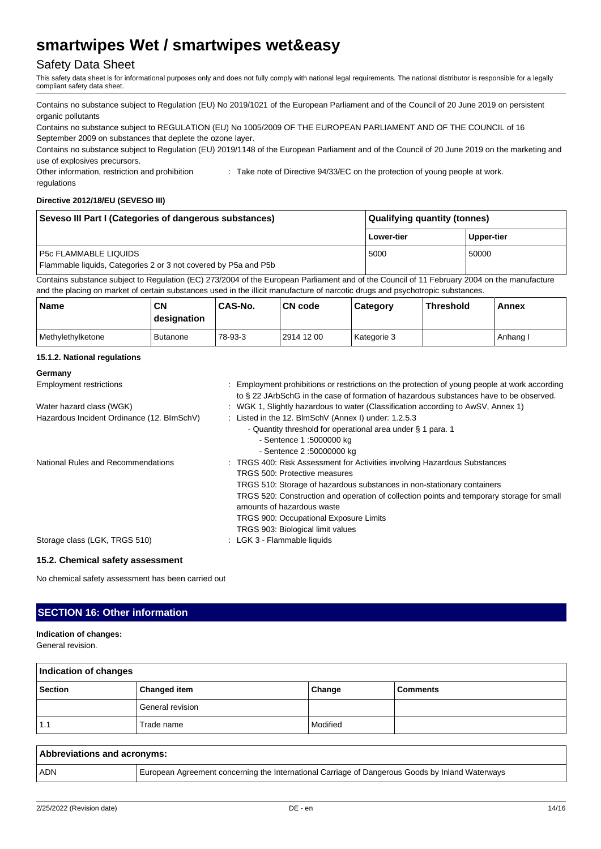## Safety Data Sheet

This safety data sheet is for informational purposes only and does not fully comply with national legal requirements. The national distributor is responsible for a legally compliant safety data sheet.

Contains no substance subject to Regulation (EU) No 2019/1021 of the European Parliament and of the Council of 20 June 2019 on persistent organic pollutants

Contains no substance subject to REGULATION (EU) No 1005/2009 OF THE EUROPEAN PARLIAMENT AND OF THE COUNCIL of 16 September 2009 on substances that deplete the ozone layer.

Contains no substance subject to Regulation (EU) 2019/1148 of the European Parliament and of the Council of 20 June 2019 on the marketing and use of explosives precursors.

Other information, restriction and prohibition regulations : Take note of Directive 94/33/EC on the protection of young people at work.

#### **Directive 2012/18/EU (SEVESO III)**

| Seveso III Part I (Categories of dangerous substances)                                                                                      | <b>Qualifying quantity (tonnes)</b> |            |
|---------------------------------------------------------------------------------------------------------------------------------------------|-------------------------------------|------------|
|                                                                                                                                             | Lower-tier                          | Upper-tier |
| <b>P5c FLAMMABLE LIQUIDS</b><br>Flammable liquids, Categories 2 or 3 not covered by P5a and P5b                                             | 5000                                | 50000      |
| Contains substance subject to Regulation (EC) 273/2004 of the European Parliament and of the Council of 11 February 2004 on the manufacture |                                     |            |

and the placing on market of certain substances used in the illicit manufacture of narcotic drugs and psychotropic substances.

| <b>Name</b>       | <b>CN</b><br>designation | CAS-No. | <b>CN</b> code | Category    | <b>Threshold</b> | Annex    |
|-------------------|--------------------------|---------|----------------|-------------|------------------|----------|
| Methylethylketone | <b>Butanone</b>          | 78-93-3 | 2914 12 00     | Kategorie 3 |                  | Anhang I |

#### **15.1.2. National regulations**

| Germany                                    |                                                                                                                                                                                         |  |
|--------------------------------------------|-----------------------------------------------------------------------------------------------------------------------------------------------------------------------------------------|--|
| <b>Employment restrictions</b>             | : Employment prohibitions or restrictions on the protection of young people at work according<br>to § 22 JArbSchG in the case of formation of hazardous substances have to be observed. |  |
| Water hazard class (WGK)                   | : WGK 1, Slightly hazardous to water (Classification according to AwSV, Annex 1)                                                                                                        |  |
| Hazardous Incident Ordinance (12. BImSchV) | : Listed in the 12. BlmSchV (Annex I) under: 1.2.5.3                                                                                                                                    |  |
|                                            | - Quantity threshold for operational area under § 1 para. 1                                                                                                                             |  |
|                                            | - Sentence 1:5000000 kg                                                                                                                                                                 |  |
|                                            | - Sentence 2:50000000 kg                                                                                                                                                                |  |
| National Rules and Recommendations         | : TRGS 400: Risk Assessment for Activities involving Hazardous Substances                                                                                                               |  |
|                                            | TRGS 500: Protective measures                                                                                                                                                           |  |
|                                            | TRGS 510: Storage of hazardous substances in non-stationary containers                                                                                                                  |  |
|                                            | TRGS 520: Construction and operation of collection points and temporary storage for small<br>amounts of hazardous waste                                                                 |  |
|                                            | <b>TRGS 900: Occupational Exposure Limits</b>                                                                                                                                           |  |
|                                            | TRGS 903: Biological limit values                                                                                                                                                       |  |
| Storage class (LGK, TRGS 510)              | : LGK 3 - Flammable liquids                                                                                                                                                             |  |

#### **15.2. Chemical safety assessment**

No chemical safety assessment has been carried out

## **SECTION 16: Other information**

## **Indication of changes:**

General revision.

| Indication of changes |                     |          |                 |  |
|-----------------------|---------------------|----------|-----------------|--|
| <b>Section</b>        | <b>Changed item</b> | Change   | <b>Comments</b> |  |
|                       | General revision    |          |                 |  |
| 1.1                   | Trade name          | Modified |                 |  |

| Abbreviations and acronyms: |                                                                                                 |  |  |
|-----------------------------|-------------------------------------------------------------------------------------------------|--|--|
| <b>ADN</b>                  | European Agreement concerning the International Carriage of Dangerous Goods by Inland Waterways |  |  |
|                             |                                                                                                 |  |  |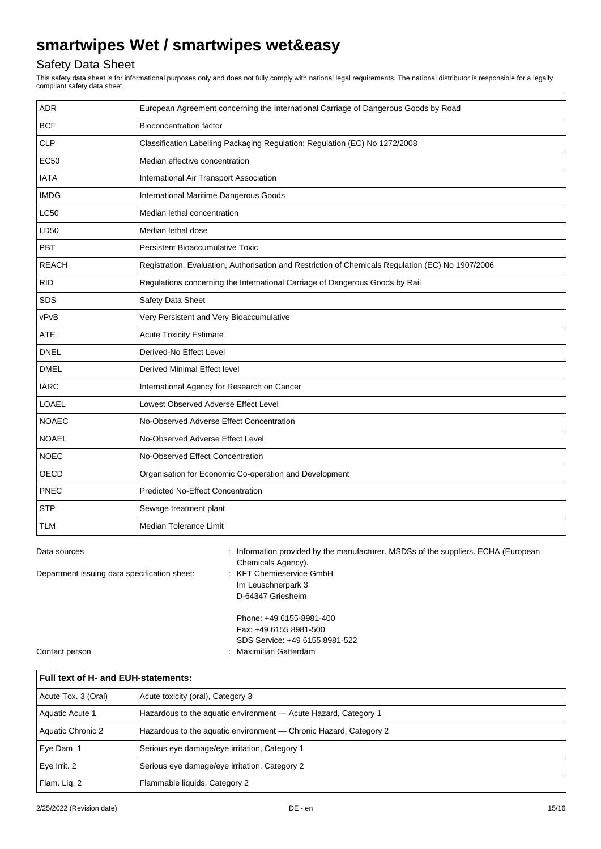## Safety Data Sheet

This safety data sheet is for informational purposes only and does not fully comply with national legal requirements. The national distributor is responsible for a legally compliant safety data sheet.

| <b>ADR</b>   | European Agreement concerning the International Carriage of Dangerous Goods by Road               |  |  |
|--------------|---------------------------------------------------------------------------------------------------|--|--|
| <b>BCF</b>   | <b>Bioconcentration factor</b>                                                                    |  |  |
| <b>CLP</b>   | Classification Labelling Packaging Regulation; Regulation (EC) No 1272/2008                       |  |  |
| <b>EC50</b>  | Median effective concentration                                                                    |  |  |
| <b>IATA</b>  | International Air Transport Association                                                           |  |  |
| <b>IMDG</b>  | International Maritime Dangerous Goods                                                            |  |  |
| <b>LC50</b>  | Median lethal concentration                                                                       |  |  |
| LD50         | Median lethal dose                                                                                |  |  |
| <b>PBT</b>   | Persistent Bioaccumulative Toxic                                                                  |  |  |
| <b>REACH</b> | Registration, Evaluation, Authorisation and Restriction of Chemicals Regulation (EC) No 1907/2006 |  |  |
| <b>RID</b>   | Regulations concerning the International Carriage of Dangerous Goods by Rail                      |  |  |
| <b>SDS</b>   | Safety Data Sheet                                                                                 |  |  |
| vPvB         | Very Persistent and Very Bioaccumulative                                                          |  |  |
| <b>ATE</b>   | <b>Acute Toxicity Estimate</b>                                                                    |  |  |
| <b>DNEL</b>  | Derived-No Effect Level                                                                           |  |  |
| <b>DMEL</b>  | Derived Minimal Effect level                                                                      |  |  |
| <b>IARC</b>  | International Agency for Research on Cancer                                                       |  |  |
| <b>LOAEL</b> | Lowest Observed Adverse Effect Level                                                              |  |  |
| <b>NOAEC</b> | No-Observed Adverse Effect Concentration                                                          |  |  |
| <b>NOAEL</b> | No-Observed Adverse Effect Level                                                                  |  |  |
| <b>NOEC</b>  | No-Observed Effect Concentration                                                                  |  |  |
| <b>OECD</b>  | Organisation for Economic Co-operation and Development                                            |  |  |
| PNEC         | <b>Predicted No-Effect Concentration</b>                                                          |  |  |
| <b>STP</b>   | Sewage treatment plant                                                                            |  |  |
| TLM          | Median Tolerance Limit                                                                            |  |  |

| Data sources                                 | : Information provided by the manufacturer. MSDSs of the suppliers. ECHA (European |
|----------------------------------------------|------------------------------------------------------------------------------------|
|                                              | Chemicals Agency).                                                                 |
| Department issuing data specification sheet: | : KFT Chemieservice GmbH                                                           |
|                                              | Im Leuschnerpark 3                                                                 |
|                                              | D-64347 Griesheim                                                                  |
|                                              | Phone: +49 6155-8981-400                                                           |
|                                              | Fax: +49 6155 8981-500                                                             |
|                                              | SDS Service: +49 6155 8981-522                                                     |
| Contact person                               | : Maximilian Gatterdam                                                             |

| Full text of H- and EUH-statements: |                                                                   |  |  |
|-------------------------------------|-------------------------------------------------------------------|--|--|
| Acute Tox. 3 (Oral)                 | Acute toxicity (oral), Category 3                                 |  |  |
| Aquatic Acute 1                     | Hazardous to the aquatic environment - Acute Hazard, Category 1   |  |  |
| Aquatic Chronic 2                   | Hazardous to the aquatic environment - Chronic Hazard, Category 2 |  |  |
| Eye Dam. 1                          | Serious eye damage/eye irritation, Category 1                     |  |  |
| Eye Irrit. 2                        | Serious eye damage/eye irritation, Category 2                     |  |  |
| Flam. Lig. 2                        | Flammable liquids, Category 2                                     |  |  |